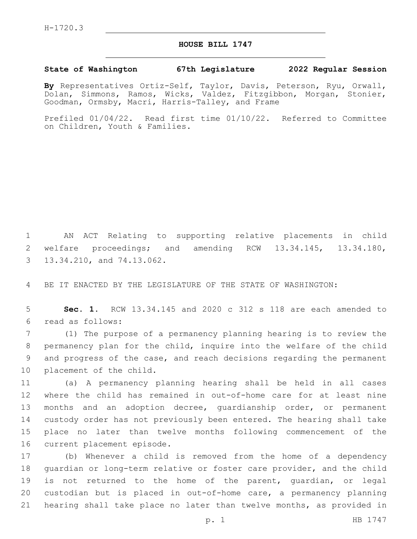## **HOUSE BILL 1747**

## **State of Washington 67th Legislature 2022 Regular Session**

**By** Representatives Ortiz-Self, Taylor, Davis, Peterson, Ryu, Orwall, Dolan, Simmons, Ramos, Wicks, Valdez, Fitzgibbon, Morgan, Stonier, Goodman, Ormsby, Macri, Harris-Talley, and Frame

Prefiled 01/04/22. Read first time 01/10/22. Referred to Committee on Children, Youth & Families.

1 AN ACT Relating to supporting relative placements in child 2 welfare proceedings; and amending RCW 13.34.145, 13.34.180, 3 13.34.210, and 74.13.062.

4 BE IT ENACTED BY THE LEGISLATURE OF THE STATE OF WASHINGTON:

5 **Sec. 1.** RCW 13.34.145 and 2020 c 312 s 118 are each amended to read as follows:6

 (1) The purpose of a permanency planning hearing is to review the permanency plan for the child, inquire into the welfare of the child and progress of the case, and reach decisions regarding the permanent 10 placement of the child.

 (a) A permanency planning hearing shall be held in all cases where the child has remained in out-of-home care for at least nine months and an adoption decree, guardianship order, or permanent custody order has not previously been entered. The hearing shall take place no later than twelve months following commencement of the 16 current placement episode.

 (b) Whenever a child is removed from the home of a dependency guardian or long-term relative or foster care provider, and the child is not returned to the home of the parent, guardian, or legal custodian but is placed in out-of-home care, a permanency planning hearing shall take place no later than twelve months, as provided in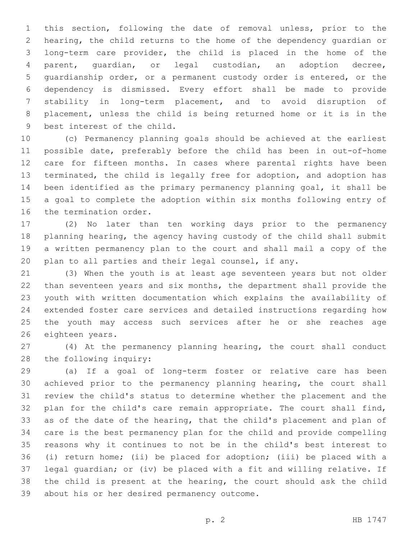this section, following the date of removal unless, prior to the hearing, the child returns to the home of the dependency guardian or long-term care provider, the child is placed in the home of the parent, guardian, or legal custodian, an adoption decree, guardianship order, or a permanent custody order is entered, or the dependency is dismissed. Every effort shall be made to provide stability in long-term placement, and to avoid disruption of placement, unless the child is being returned home or it is in the 9 best interest of the child.

 (c) Permanency planning goals should be achieved at the earliest possible date, preferably before the child has been in out-of-home care for fifteen months. In cases where parental rights have been terminated, the child is legally free for adoption, and adoption has been identified as the primary permanency planning goal, it shall be a goal to complete the adoption within six months following entry of 16 the termination order.

 (2) No later than ten working days prior to the permanency planning hearing, the agency having custody of the child shall submit a written permanency plan to the court and shall mail a copy of the plan to all parties and their legal counsel, if any.

 (3) When the youth is at least age seventeen years but not older than seventeen years and six months, the department shall provide the youth with written documentation which explains the availability of extended foster care services and detailed instructions regarding how the youth may access such services after he or she reaches age 26 eighteen years.

 (4) At the permanency planning hearing, the court shall conduct 28 the following inquiry:

 (a) If a goal of long-term foster or relative care has been achieved prior to the permanency planning hearing, the court shall review the child's status to determine whether the placement and the plan for the child's care remain appropriate. The court shall find, as of the date of the hearing, that the child's placement and plan of care is the best permanency plan for the child and provide compelling reasons why it continues to not be in the child's best interest to (i) return home; (ii) be placed for adoption; (iii) be placed with a legal guardian; or (iv) be placed with a fit and willing relative. If the child is present at the hearing, the court should ask the child 39 about his or her desired permanency outcome.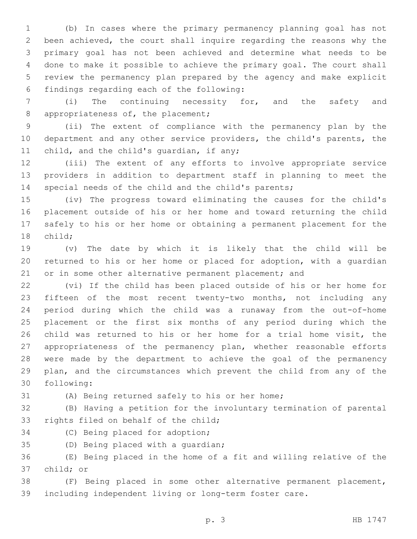(b) In cases where the primary permanency planning goal has not been achieved, the court shall inquire regarding the reasons why the primary goal has not been achieved and determine what needs to be done to make it possible to achieve the primary goal. The court shall review the permanency plan prepared by the agency and make explicit findings regarding each of the following:6

 (i) The continuing necessity for, and the safety and 8 appropriateness of, the placement;

 (ii) The extent of compliance with the permanency plan by the department and any other service providers, the child's parents, the 11 child, and the child's quardian, if any;

 (iii) The extent of any efforts to involve appropriate service providers in addition to department staff in planning to meet the special needs of the child and the child's parents;

 (iv) The progress toward eliminating the causes for the child's placement outside of his or her home and toward returning the child safely to his or her home or obtaining a permanent placement for the 18 child;

 (v) The date by which it is likely that the child will be returned to his or her home or placed for adoption, with a guardian 21 or in some other alternative permanent placement; and

 (vi) If the child has been placed outside of his or her home for fifteen of the most recent twenty-two months, not including any period during which the child was a runaway from the out-of-home placement or the first six months of any period during which the child was returned to his or her home for a trial home visit, the appropriateness of the permanency plan, whether reasonable efforts were made by the department to achieve the goal of the permanency plan, and the circumstances which prevent the child from any of the 30 following:

(A) Being returned safely to his or her home;

 (B) Having a petition for the involuntary termination of parental 33 rights filed on behalf of the child;

34 (C) Being placed for adoption;

35 (D) Being placed with a quardian;

 (E) Being placed in the home of a fit and willing relative of the 37 child; or

 (F) Being placed in some other alternative permanent placement, including independent living or long-term foster care.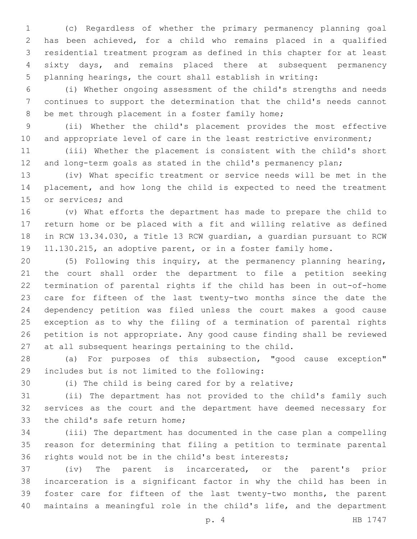(c) Regardless of whether the primary permanency planning goal has been achieved, for a child who remains placed in a qualified residential treatment program as defined in this chapter for at least sixty days, and remains placed there at subsequent permanency planning hearings, the court shall establish in writing:

 (i) Whether ongoing assessment of the child's strengths and needs continues to support the determination that the child's needs cannot 8 be met through placement in a foster family home;

 (ii) Whether the child's placement provides the most effective 10 and appropriate level of care in the least restrictive environment;

 (iii) Whether the placement is consistent with the child's short 12 and long-term goals as stated in the child's permanency plan;

 (iv) What specific treatment or service needs will be met in the placement, and how long the child is expected to need the treatment 15 or services; and

 (v) What efforts the department has made to prepare the child to return home or be placed with a fit and willing relative as defined in RCW 13.34.030, a Title 13 RCW guardian, a guardian pursuant to RCW 11.130.215, an adoptive parent, or in a foster family home.

 (5) Following this inquiry, at the permanency planning hearing, the court shall order the department to file a petition seeking termination of parental rights if the child has been in out-of-home care for fifteen of the last twenty-two months since the date the dependency petition was filed unless the court makes a good cause exception as to why the filing of a termination of parental rights petition is not appropriate. Any good cause finding shall be reviewed at all subsequent hearings pertaining to the child.

 (a) For purposes of this subsection, "good cause exception" includes but is not limited to the following:29

(i) The child is being cared for by a relative;

 (ii) The department has not provided to the child's family such services as the court and the department have deemed necessary for 33 the child's safe return home;

 (iii) The department has documented in the case plan a compelling reason for determining that filing a petition to terminate parental rights would not be in the child's best interests;

 (iv) The parent is incarcerated, or the parent's prior incarceration is a significant factor in why the child has been in foster care for fifteen of the last twenty-two months, the parent maintains a meaningful role in the child's life, and the department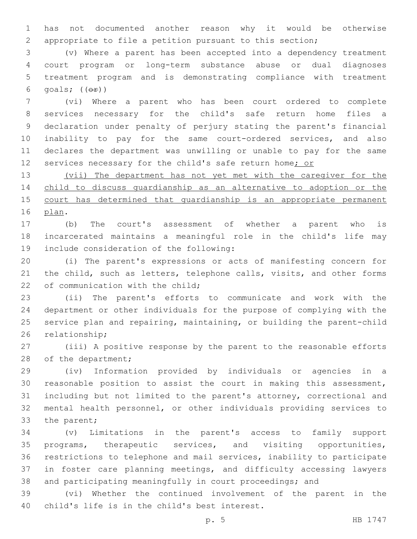has not documented another reason why it would be otherwise appropriate to file a petition pursuant to this section;

 (v) Where a parent has been accepted into a dependency treatment court program or long-term substance abuse or dual diagnoses treatment program and is demonstrating compliance with treatment 6 goals;  $((\theta \cdot \hat{r}))$ 

 (vi) Where a parent who has been court ordered to complete services necessary for the child's safe return home files a declaration under penalty of perjury stating the parent's financial inability to pay for the same court-ordered services, and also declares the department was unwilling or unable to pay for the same 12 services necessary for the child's safe return home; or

 (vii) The department has not yet met with the caregiver for the child to discuss guardianship as an alternative to adoption or the 15 court has determined that quardianship is an appropriate permanent 16 plan.

 (b) The court's assessment of whether a parent who is incarcerated maintains a meaningful role in the child's life may 19 include consideration of the following:

 (i) The parent's expressions or acts of manifesting concern for 21 the child, such as letters, telephone calls, visits, and other forms 22 of communication with the child;

 (ii) The parent's efforts to communicate and work with the department or other individuals for the purpose of complying with the service plan and repairing, maintaining, or building the parent-child 26 relationship;

 (iii) A positive response by the parent to the reasonable efforts 28 of the department;

 (iv) Information provided by individuals or agencies in a reasonable position to assist the court in making this assessment, including but not limited to the parent's attorney, correctional and mental health personnel, or other individuals providing services to 33 the parent;

 (v) Limitations in the parent's access to family support programs, therapeutic services, and visiting opportunities, restrictions to telephone and mail services, inability to participate in foster care planning meetings, and difficulty accessing lawyers and participating meaningfully in court proceedings; and

 (vi) Whether the continued involvement of the parent in the 40 child's life is in the child's best interest.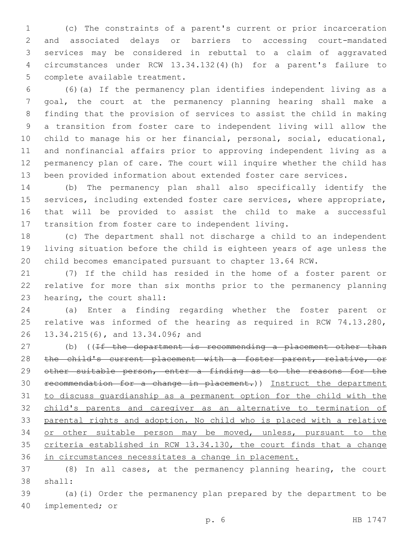(c) The constraints of a parent's current or prior incarceration and associated delays or barriers to accessing court-mandated services may be considered in rebuttal to a claim of aggravated circumstances under RCW 13.34.132(4)(h) for a parent's failure to 5 complete available treatment.

 (6)(a) If the permanency plan identifies independent living as a goal, the court at the permanency planning hearing shall make a finding that the provision of services to assist the child in making a transition from foster care to independent living will allow the child to manage his or her financial, personal, social, educational, and nonfinancial affairs prior to approving independent living as a permanency plan of care. The court will inquire whether the child has been provided information about extended foster care services.

 (b) The permanency plan shall also specifically identify the services, including extended foster care services, where appropriate, that will be provided to assist the child to make a successful transition from foster care to independent living.

 (c) The department shall not discharge a child to an independent living situation before the child is eighteen years of age unless the child becomes emancipated pursuant to chapter 13.64 RCW.

 (7) If the child has resided in the home of a foster parent or relative for more than six months prior to the permanency planning 23 hearing, the court shall:

 (a) Enter a finding regarding whether the foster parent or relative was informed of the hearing as required in RCW 74.13.280, 26 13.34.215(6), and 13.34.096; and

27 (b) ((If the department is recommending a placement other than 28 the child's current placement with a foster parent, relative, or 29 other suitable person, enter a finding as to the reasons for the recommendation for a change in placement.)) Instruct the department to discuss guardianship as a permanent option for the child with the child's parents and caregiver as an alternative to termination of parental rights and adoption. No child who is placed with a relative or other suitable person may be moved, unless, pursuant to the criteria established in RCW 13.34.130, the court finds that a change in circumstances necessitates a change in placement.

 (8) In all cases, at the permanency planning hearing, the court 38 shall:

 (a)(i) Order the permanency plan prepared by the department to be 40 implemented; or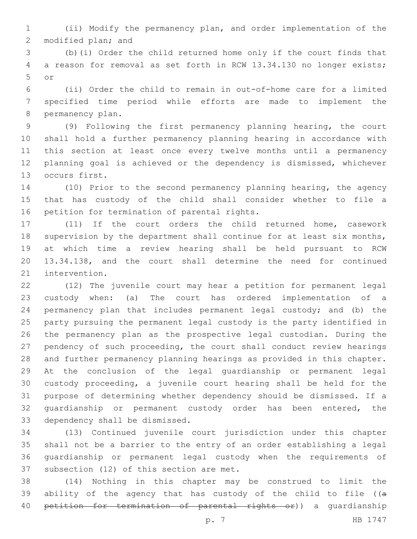(ii) Modify the permanency plan, and order implementation of the 2 modified plan; and

 (b)(i) Order the child returned home only if the court finds that a reason for removal as set forth in RCW 13.34.130 no longer exists; or5

 (ii) Order the child to remain in out-of-home care for a limited specified time period while efforts are made to implement the 8 permanency plan.

 (9) Following the first permanency planning hearing, the court shall hold a further permanency planning hearing in accordance with this section at least once every twelve months until a permanency planning goal is achieved or the dependency is dismissed, whichever 13 occurs first.

 (10) Prior to the second permanency planning hearing, the agency that has custody of the child shall consider whether to file a 16 petition for termination of parental rights.

 (11) If the court orders the child returned home, casework 18 supervision by the department shall continue for at least six months, at which time a review hearing shall be held pursuant to RCW 13.34.138, and the court shall determine the need for continued 21 intervention.

 (12) The juvenile court may hear a petition for permanent legal custody when: (a) The court has ordered implementation of a permanency plan that includes permanent legal custody; and (b) the party pursuing the permanent legal custody is the party identified in the permanency plan as the prospective legal custodian. During the pendency of such proceeding, the court shall conduct review hearings and further permanency planning hearings as provided in this chapter. At the conclusion of the legal guardianship or permanent legal custody proceeding, a juvenile court hearing shall be held for the purpose of determining whether dependency should be dismissed. If a 32 quardianship or permanent custody order has been entered, the 33 dependency shall be dismissed.

 (13) Continued juvenile court jurisdiction under this chapter shall not be a barrier to the entry of an order establishing a legal guardianship or permanent legal custody when the requirements of 37 subsection (12) of this section are met.

 (14) Nothing in this chapter may be construed to limit the 39 ability of the agency that has custody of the child to file ( $(a - b)$ 40 petition for termination of parental rights or)) a quardianship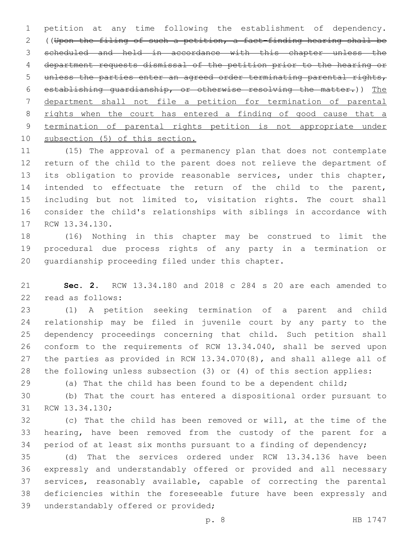petition at any time following the establishment of dependency. ((Upon the filing of such a petition, a fact-finding hearing shall be scheduled and held in accordance with this chapter unless the department requests dismissal of the petition prior to the hearing or unless the parties enter an agreed order terminating parental rights, establishing guardianship, or otherwise resolving the matter.)) The department shall not file a petition for termination of parental 8 rights when the court has entered a finding of good cause that a termination of parental rights petition is not appropriate under subsection (5) of this section.

 (15) The approval of a permanency plan that does not contemplate return of the child to the parent does not relieve the department of its obligation to provide reasonable services, under this chapter, intended to effectuate the return of the child to the parent, 15 including but not limited to, visitation rights. The court shall consider the child's relationships with siblings in accordance with 17 RCW 13.34.130.

 (16) Nothing in this chapter may be construed to limit the procedural due process rights of any party in a termination or 20 quardianship proceeding filed under this chapter.

 **Sec. 2.** RCW 13.34.180 and 2018 c 284 s 20 are each amended to 22 read as follows:

 (1) A petition seeking termination of a parent and child relationship may be filed in juvenile court by any party to the dependency proceedings concerning that child. Such petition shall conform to the requirements of RCW 13.34.040, shall be served upon the parties as provided in RCW 13.34.070(8), and shall allege all of the following unless subsection (3) or (4) of this section applies:

(a) That the child has been found to be a dependent child;

 (b) That the court has entered a dispositional order pursuant to 31 RCW 13.34.130;

 (c) That the child has been removed or will, at the time of the hearing, have been removed from the custody of the parent for a period of at least six months pursuant to a finding of dependency;

 (d) That the services ordered under RCW 13.34.136 have been expressly and understandably offered or provided and all necessary services, reasonably available, capable of correcting the parental deficiencies within the foreseeable future have been expressly and 39 understandably offered or provided;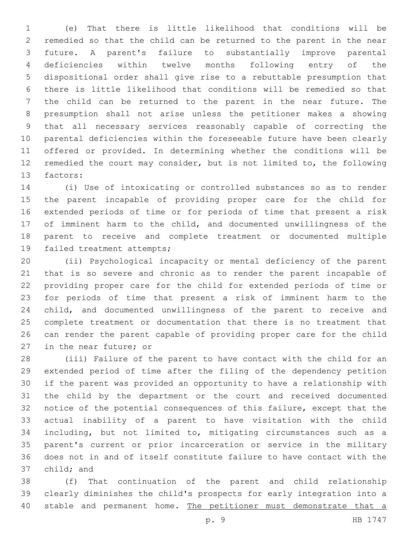(e) That there is little likelihood that conditions will be remedied so that the child can be returned to the parent in the near future. A parent's failure to substantially improve parental deficiencies within twelve months following entry of the dispositional order shall give rise to a rebuttable presumption that there is little likelihood that conditions will be remedied so that the child can be returned to the parent in the near future. The presumption shall not arise unless the petitioner makes a showing that all necessary services reasonably capable of correcting the parental deficiencies within the foreseeable future have been clearly offered or provided. In determining whether the conditions will be remedied the court may consider, but is not limited to, the following 13 factors:

 (i) Use of intoxicating or controlled substances so as to render the parent incapable of providing proper care for the child for extended periods of time or for periods of time that present a risk of imminent harm to the child, and documented unwillingness of the parent to receive and complete treatment or documented multiple 19 failed treatment attempts;

 (ii) Psychological incapacity or mental deficiency of the parent that is so severe and chronic as to render the parent incapable of providing proper care for the child for extended periods of time or for periods of time that present a risk of imminent harm to the child, and documented unwillingness of the parent to receive and complete treatment or documentation that there is no treatment that can render the parent capable of providing proper care for the child 27 in the near future; or

 (iii) Failure of the parent to have contact with the child for an extended period of time after the filing of the dependency petition if the parent was provided an opportunity to have a relationship with the child by the department or the court and received documented notice of the potential consequences of this failure, except that the actual inability of a parent to have visitation with the child including, but not limited to, mitigating circumstances such as a parent's current or prior incarceration or service in the military does not in and of itself constitute failure to have contact with the 37 child; and

 (f) That continuation of the parent and child relationship clearly diminishes the child's prospects for early integration into a 40 stable and permanent home. The petitioner must demonstrate that a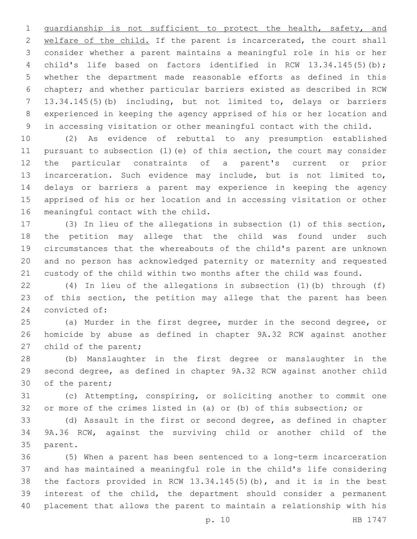guardianship is not sufficient to protect the health, safety, and 2 welfare of the child. If the parent is incarcerated, the court shall consider whether a parent maintains a meaningful role in his or her child's life based on factors identified in RCW 13.34.145(5)(b); whether the department made reasonable efforts as defined in this chapter; and whether particular barriers existed as described in RCW 13.34.145(5)(b) including, but not limited to, delays or barriers experienced in keeping the agency apprised of his or her location and in accessing visitation or other meaningful contact with the child.

 (2) As evidence of rebuttal to any presumption established pursuant to subsection (1)(e) of this section, the court may consider the particular constraints of a parent's current or prior incarceration. Such evidence may include, but is not limited to, delays or barriers a parent may experience in keeping the agency apprised of his or her location and in accessing visitation or other 16 meaningful contact with the child.

 (3) In lieu of the allegations in subsection (1) of this section, the petition may allege that the child was found under such circumstances that the whereabouts of the child's parent are unknown and no person has acknowledged paternity or maternity and requested custody of the child within two months after the child was found.

 (4) In lieu of the allegations in subsection (1)(b) through (f) 23 of this section, the petition may allege that the parent has been 24 convicted of:

 (a) Murder in the first degree, murder in the second degree, or homicide by abuse as defined in chapter 9A.32 RCW against another 27 child of the parent;

 (b) Manslaughter in the first degree or manslaughter in the second degree, as defined in chapter 9A.32 RCW against another child 30 of the parent;

 (c) Attempting, conspiring, or soliciting another to commit one or more of the crimes listed in (a) or (b) of this subsection; or

 (d) Assault in the first or second degree, as defined in chapter 9A.36 RCW, against the surviving child or another child of the 35 parent.

 (5) When a parent has been sentenced to a long-term incarceration and has maintained a meaningful role in the child's life considering the factors provided in RCW 13.34.145(5)(b), and it is in the best interest of the child, the department should consider a permanent placement that allows the parent to maintain a relationship with his

p. 10 HB 1747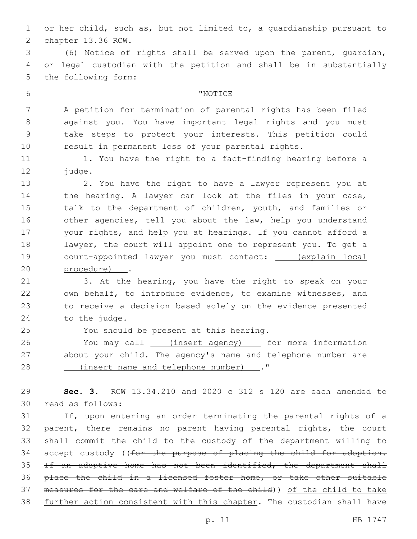or her child, such as, but not limited to, a guardianship pursuant to 2 chapter 13.36 RCW.

 (6) Notice of rights shall be served upon the parent, guardian, or legal custodian with the petition and shall be in substantially 5 the following form:

## 6 TNOTICE

 A petition for termination of parental rights has been filed against you. You have important legal rights and you must take steps to protect your interests. This petition could result in permanent loss of your parental rights.

11 1. You have the right to a fact-finding hearing before a 12 judge.

 2. You have the right to have a lawyer represent you at the hearing. A lawyer can look at the files in your case, talk to the department of children, youth, and families or other agencies, tell you about the law, help you understand your rights, and help you at hearings. If you cannot afford a lawyer, the court will appoint one to represent you. To get a court-appointed lawyer you must contact: (explain local 20 procedure) .

 3. At the hearing, you have the right to speak on your own behalf, to introduce evidence, to examine witnesses, and to receive a decision based solely on the evidence presented 24 to the judge.

You should be present at this hearing.25

26 You may call (insert agency) for more information about your child. The agency's name and telephone number are 28 (insert name and telephone number)."

 **Sec. 3.** RCW 13.34.210 and 2020 c 312 s 120 are each amended to 30 read as follows:

 If, upon entering an order terminating the parental rights of a parent, there remains no parent having parental rights, the court shall commit the child to the custody of the department willing to 34 accept custody ((for the purpose of placing the child for adoption. If an adoptive home has not been identified, the department shall place the child in a licensed foster home, or take other suitable measures for the care and welfare of the child)) of the child to take further action consistent with this chapter. The custodian shall have